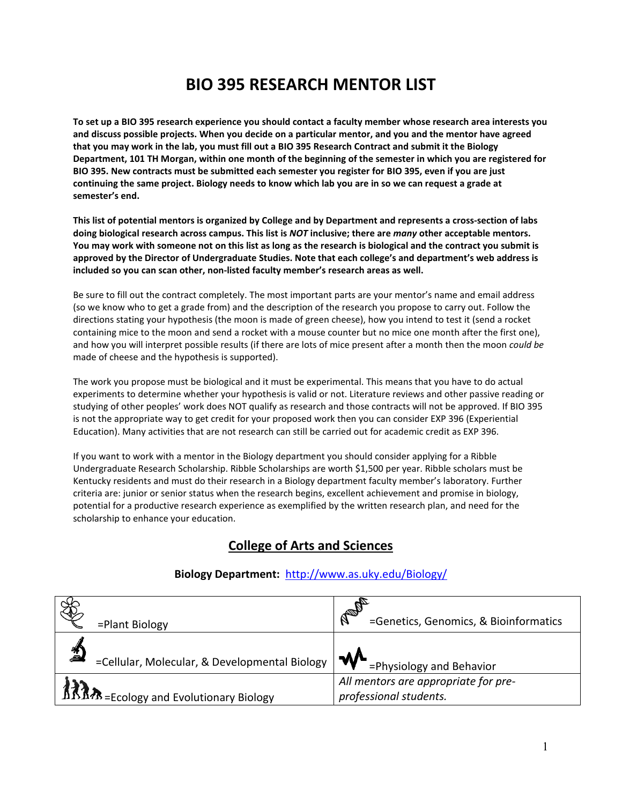# **BIO 395 RESEARCH MENTOR LIST**

**To set up a BIO 395 research experience you should contact a faculty member whose research area interests you and discuss possible projects. When you decide on a particular mentor, and you and the mentor have agreed that you may work in the lab, you must fill out a BIO 395 Research Contract and submit it the Biology Department, 101 TH Morgan, within one month of the beginning of the semester in which you are registered for BIO 395. New contracts must be submitted each semester you register for BIO 395, even if you are just continuing the same project. Biology needs to know which lab you are in so we can request a grade at semester's end.**

**This list of potential mentors is organized by College and by Department and represents a cross-section of labs doing biological research across campus. This list is** *NOT* **inclusive; there are** *many* **other acceptable mentors. You may work with someone not on this list as long as the research is biological and the contract you submit is approved by the Director of Undergraduate Studies. Note that each college's and department's web address is included so you can scan other, non-listed faculty member's research areas as well.**

Be sure to fill out the contract completely. The most important parts are your mentor's name and email address (so we know who to get a grade from) and the description of the research you propose to carry out. Follow the directions stating your hypothesis (the moon is made of green cheese), how you intend to test it (send a rocket containing mice to the moon and send a rocket with a mouse counter but no mice one month after the first one), and how you will interpret possible results (if there are lots of mice present after a month then the moon *could be* made of cheese and the hypothesis is supported).

The work you propose must be biological and it must be experimental. This means that you have to do actual experiments to determine whether your hypothesis is valid or not. Literature reviews and other passive reading or studying of other peoples' work does NOT qualify as research and those contracts will not be approved. If BIO 395 is not the appropriate way to get credit for your proposed work then you can consider EXP 396 (Experiential Education). Many activities that are not research can still be carried out for academic credit as EXP 396.

If you want to work with a mentor in the Biology department you should consider applying for a Ribble Undergraduate Research Scholarship. Ribble Scholarships are worth \$1,500 per year. Ribble scholars must be Kentucky residents and must do their research in a Biology department faculty member's laboratory. Further criteria are: junior or senior status when the research begins, excellent achievement and promise in biology, potential for a productive research experience as exemplified by the written research plan, and need for the scholarship to enhance your education.

# **College of Arts and Sciences**

| =Plant Biology                                     | AD<br>=Genetics, Genomics, & Bioinformatics                    |
|----------------------------------------------------|----------------------------------------------------------------|
| 衝<br>=Cellular, Molecular, & Developmental Biology | $\mathcal{M}$ = Physiology and Behavior                        |
| <b>ARAM</b> = Ecology and Evolutionary Biology     | All mentors are appropriate for pre-<br>professional students. |

## **Biology Department:** <http://www.as.uky.edu/Biology/>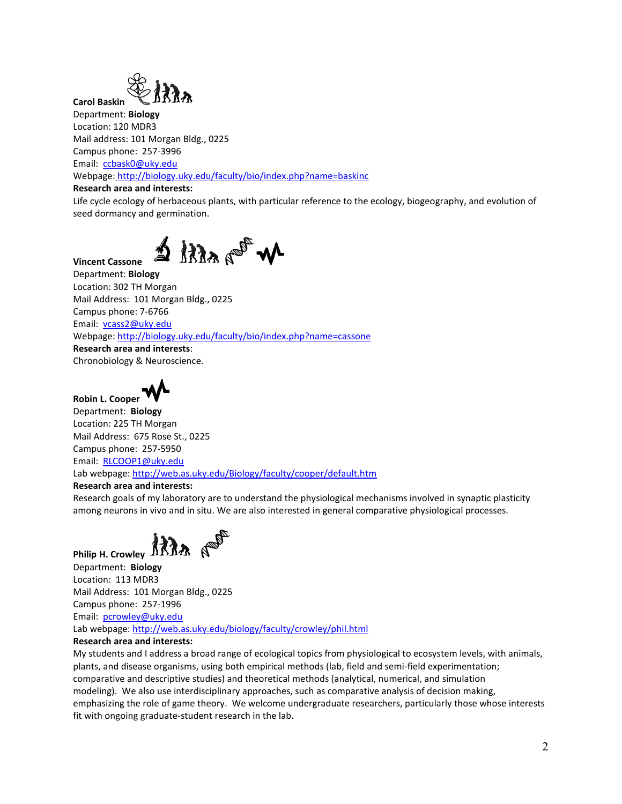

**Carol Baskin** Department: **Biology** Location: 120 MDR3 Mail address: 101 Morgan Bldg., 0225 Campus phone: 257-3996 Email: [ccbask0@uky.edu](mailto:ccbask0@uky.edu) Webpage: <http://biology.uky.edu/faculty/bio/index.php?name=baskinc>

## **Research area and interests:**

Life cycle ecology of herbaceous plants, with particular reference to the ecology, biogeography, and evolution of seed dormancy and germination.

## **Vincent Cassone**

 $\Delta$  /  $\Omega_{AB}$  or  $\mathcal{M}$ 

Department: **Biology** Location: 302 TH Morgan Mail Address: 101 Morgan Bldg., 0225 Campus phone: 7-6766 Email: [vcass2@uky.edu](mailto:vcass2@uky.edu) Webpage:<http://biology.uky.edu/faculty/bio/index.php?name=cassone> **Research area and interests**: Chronobiology & Neuroscience.



Department: **Biology** Location: 225 TH Morgan Mail Address: 675 Rose St., 0225 Campus phone: 257-5950 Email: [RLCOOP1@uky.edu](mailto:RLCOOP1@uky.edu) Lab webpage[: http://web.as.uky.edu/Biology/faculty/cooper/default.htm](http://web.as.uky.edu/Biology/faculty/cooper/default.htm)

## **Research area and interests:**

Research goals of my laboratory are to understand the physiological mechanisms involved in synaptic plasticity among neurons in vivo and in situ. We are also interested in general comparative physiological processes.

**Philip H. Crowley ARAB**  $\mathbb{R}^{\mathbb{S}^{\mathbb{C}}}$ 

Department: **Biology** Location: 113 MDR3 Mail Address: 101 Morgan Bldg., 0225 Campus phone: 257-1996 Email: [pcrowley@uky.edu](mailto:pcrowley@uky.edu) Lab webpage[: http://web.as.uky.edu/biology/faculty/crowley/phil.html](http://web.as.uky.edu/biology/faculty/crowley/phil.html)

## **Research area and interests:**

My students and I address a broad range of ecological topics from physiological to ecosystem levels, with animals, plants, and disease organisms, using both empirical methods (lab, field and semi-field experimentation; comparative and descriptive studies) and theoretical methods (analytical, numerical, and simulation modeling). We also use interdisciplinary approaches, such as comparative analysis of decision making, emphasizing the role of game theory. We welcome undergraduate researchers, particularly those whose interests fit with ongoing graduate-student research in the lab.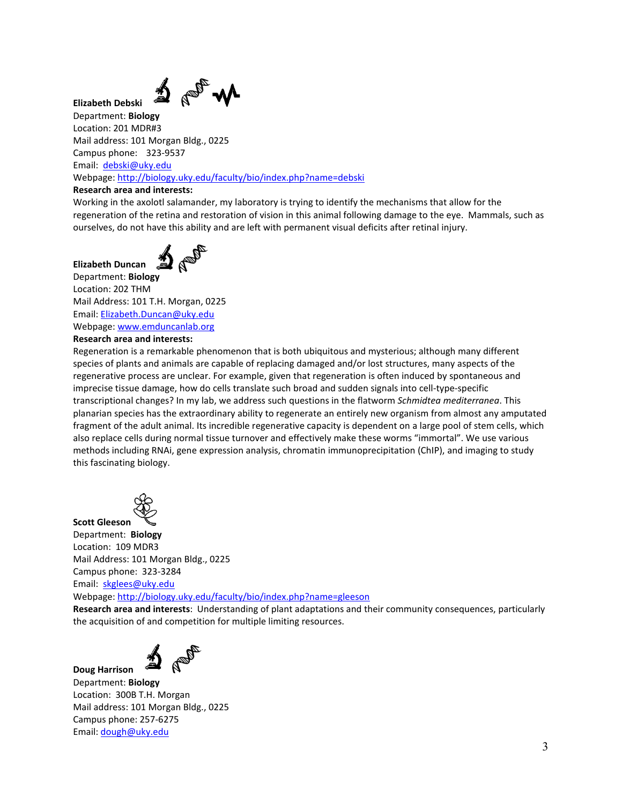่ 1ื้ง ใ⊵้

**Elizabeth Debski**

**Elizabeth Duncan**

Department: **Biology** Location: 201 MDR#3 Mail address: 101 Morgan Bldg., 0225 Campus phone: 323-9537 Email: [debski@uky.edu](mailto:debski@uky.edu) Webpage:<http://biology.uky.edu/faculty/bio/index.php?name=debski>

## **Research area and interests:**

Working in the axolotl salamander, my laboratory is trying to identify the mechanisms that allow for the regeneration of the retina and restoration of vision in this animal following damage to the eye. Mammals, such as ourselves, do not have this ability and are left with permanent visual deficits after retinal injury.



Department: **Biology** Location: 202 THM Mail Address: 101 T.H. Morgan, 0225 Email: [Elizabeth.Duncan@uky.edu](mailto:Elizabeth.Duncan@uky.edu) Webpage: [www.emduncanlab.org](https://na01.safelinks.protection.outlook.com/?url=http%3A%2F%2Fwww.emduncanlab.org&data=02%7C01%7C%7Ccad17af5a1ee4f2dd94308d61a68823c%7C2b30530b69b64457b818481cb53d42ae%7C0%7C0%7C636725434474057011&sdata=ar4%2BTSe3h7LUSV77XKaeUsO1W73nNsX9poI%2BEXyf8%2Bk%3D&reserved=0) **Research area and interests:**

Regeneration is a remarkable phenomenon that is both ubiquitous and mysterious; although many different species of plants and animals are capable of replacing damaged and/or lost structures, many aspects of the regenerative process are unclear. For example, given that regeneration is often induced by spontaneous and imprecise tissue damage, how do cells translate such broad and sudden signals into cell-type-specific transcriptional changes? In my lab, we address such questions in the flatworm *Schmidtea mediterranea*. This planarian species has the extraordinary ability to regenerate an entirely new organism from almost any amputated fragment of the adult animal. Its incredible regenerative capacity is dependent on a large pool of stem cells, which also replace cells during normal tissue turnover and effectively make these worms "immortal". We use various methods including RNAi, gene expression analysis, chromatin immunoprecipitation (ChIP), and imaging to study this fascinating biology.



**Scott Gleeson** Department: **Biology** Location: 109 MDR3 Mail Address: 101 Morgan Bldg., 0225 Campus phone: 323-3284

Email: [skglees@uky.edu](mailto:skglees@uky.edu)

Webpage:<http://biology.uky.edu/faculty/bio/index.php?name=gleeson>

**Research area and interests**: Understanding of plant adaptations and their community consequences, particularly the acquisition of and competition for multiple limiting resources.



**Doug Harrison** Department: **Biology** Location: 300B T.H. Morgan Mail address: 101 Morgan Bldg., 0225 Campus phone: 257-6275 Email: [dough@uky.edu](mailto:dough@uky.edu)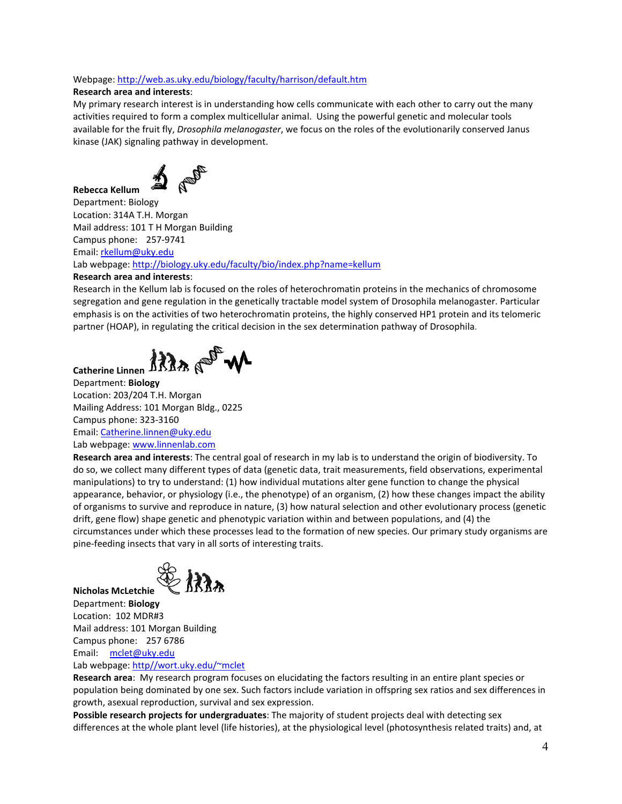## Webpage:<http://web.as.uky.edu/biology/faculty/harrison/default.htm>

## **Research area and interests**:

My primary research interest is in understanding how cells communicate with each other to carry out the many activities required to form a complex multicellular animal. Using the powerful genetic and molecular tools available for the fruit fly, *Drosophila melanogaster*, we focus on the roles of the evolutionarily conserved Janus kinase (JAK) signaling pathway in development.



**Rebecca Kellum** Department: Biology Location: 314A T.H. Morgan Mail address: 101 T H Morgan Building Campus phone: 257-9741 Email: [rkellum@uky.edu](mailto:rkellum@uky.edu)  Lab webpage[: http://biology.uky.edu/faculty/bio/index.php?name=kellum](http://biology.uky.edu/faculty/bio/index.php?name=kellum)

## **Research area and interests**:

**Catherine Linnen**

Research in the Kellum lab is focused on the roles of heterochromatin proteins in the mechanics of chromosome segregation and gene regulation in the genetically tractable model system of Drosophila melanogaster. Particular emphasis is on the activities of two heterochromatin proteins, the highly conserved HP1 protein and its telomeric partner (HOAP), in regulating the critical decision in the sex determination pathway of Drosophila.

Atlant W

Department: **Biology** Location: 203/204 T.H. Morgan Mailing Address: 101 Morgan Bldg., 0225 Campus phone: 323-3160 Email: [Catherine.linnen@uky.edu](mailto:Catherine.linnen@uky.edu) Lab webpage[: www.linnenlab.com](http://www.linnenlab.com/)

**Research area and interests**: The central goal of research in my lab is to understand the origin of biodiversity. To do so, we collect many different types of data (genetic data, trait measurements, field observations, experimental manipulations) to try to understand: (1) how individual mutations alter gene function to change the physical appearance, behavior, or physiology (i.e., the phenotype) of an organism, (2) how these changes impact the ability of organisms to survive and reproduce in nature, (3) how natural selection and other evolutionary process (genetic drift, gene flow) shape genetic and phenotypic variation within and between populations, and (4) the circumstances under which these processes lead to the formation of new species. Our primary study organisms are pine-feeding insects that vary in all sorts of interesting traits.



**Nicholas McLetchie** Department: **Biology** Location: 102 MDR#3 Mail address: 101 Morgan Building Campus phone: 257 6786 Email: [mclet@uky.edu](mailto:mclet@uky.edu) Lab webpage[: http//wort.uky.edu/~mclet](http://wort.uky.edu/%7Emclet/)

**Research area**: My research program focuses on elucidating the factors resulting in an entire plant species or population being dominated by one sex. Such factors include variation in offspring sex ratios and sex differences in growth, asexual reproduction, survival and sex expression.

**Possible research projects for undergraduates**: The majority of student projects deal with detecting sex differences at the whole plant level (life histories), at the physiological level (photosynthesis related traits) and, at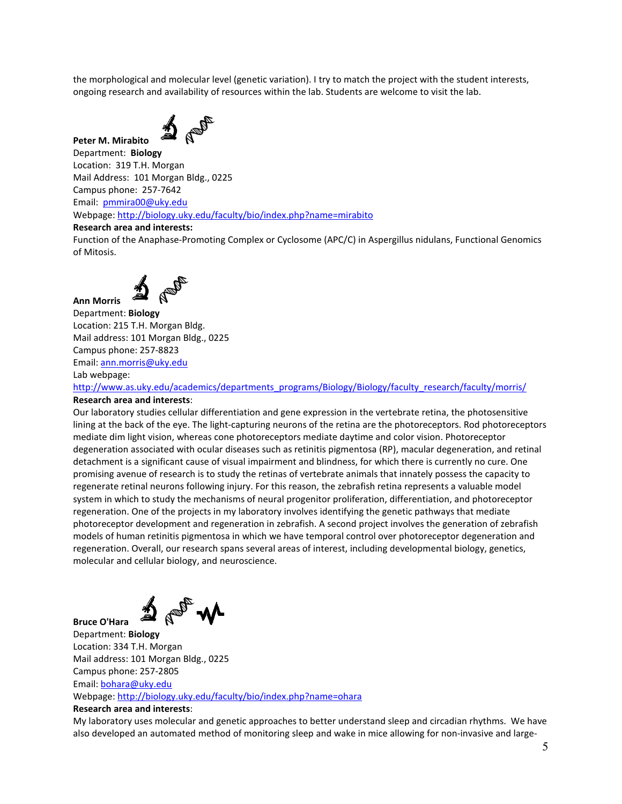the morphological and molecular level (genetic variation). I try to match the project with the student interests, ongoing research and availability of resources within the lab. Students are welcome to visit the lab.



**Peter M. Mirabito**

Department: **Biology** Location: 319 T.H. Morgan Mail Address: 101 Morgan Bldg., 0225 Campus phone: 257-7642 Email: [pmmira00@uky.edu](mailto:pmmira00@uky.edu) Webpage:<http://biology.uky.edu/faculty/bio/index.php?name=mirabito>

**Research area and interests:**

Function of the Anaphase-Promoting Complex or Cyclosome (APC/C) in Aspergillus nidulans, Functional Genomics of Mitosis.



Department: **Biology** Location: 215 T.H. Morgan Bldg. Mail address: 101 Morgan Bldg., 0225 Campus phone: 257-8823 Email: [ann.morris@uky.edu](mailto:ann.morris@uky.edu) 

Lab webpage:

**Bruce O'Hara**

**Ann Morris**

[http://www.as.uky.edu/academics/departments\\_programs/Biology/Biology/faculty\\_research/faculty/morris/](http://www.as.uky.edu/academics/departments_programs/Biology/Biology/faculty_research/faculty/morris/) **Research area and interests**:

Our laboratory studies cellular differentiation and gene expression in the vertebrate retina, the photosensitive lining at the back of the eye. The light-capturing neurons of the retina are the photoreceptors. Rod photoreceptors mediate dim light vision, whereas cone photoreceptors mediate daytime and color vision. Photoreceptor degeneration associated with ocular diseases such as retinitis pigmentosa (RP), macular degeneration, and retinal detachment is a significant cause of visual impairment and blindness, for which there is currently no cure. One promising avenue of research is to study the retinas of vertebrate animals that innately possess the capacity to regenerate retinal neurons following injury. For this reason, the zebrafish retina represents a valuable model system in which to study the mechanisms of neural progenitor proliferation, differentiation, and photoreceptor regeneration. One of the projects in my laboratory involves identifying the genetic pathways that mediate photoreceptor development and regeneration in zebrafish. A second project involves the generation of zebrafish models of human retinitis pigmentosa in which we have temporal control over photoreceptor degeneration and regeneration. Overall, our research spans several areas of interest, including developmental biology, genetics, molecular and cellular biology, and neuroscience.

Department: **Biology** Location: 334 T.H. Morgan Mail address: 101 Morgan Bldg., 0225 Campus phone: 257-2805 Email: [bohara@uky.edu](mailto:bohara@uky.edu)

Webpage:<http://biology.uky.edu/faculty/bio/index.php?name=ohara>

## **Research area and interests**:

My laboratory uses molecular and genetic approaches to better understand sleep and circadian rhythms. We have also developed an automated method of monitoring sleep and wake in mice allowing for non-invasive and large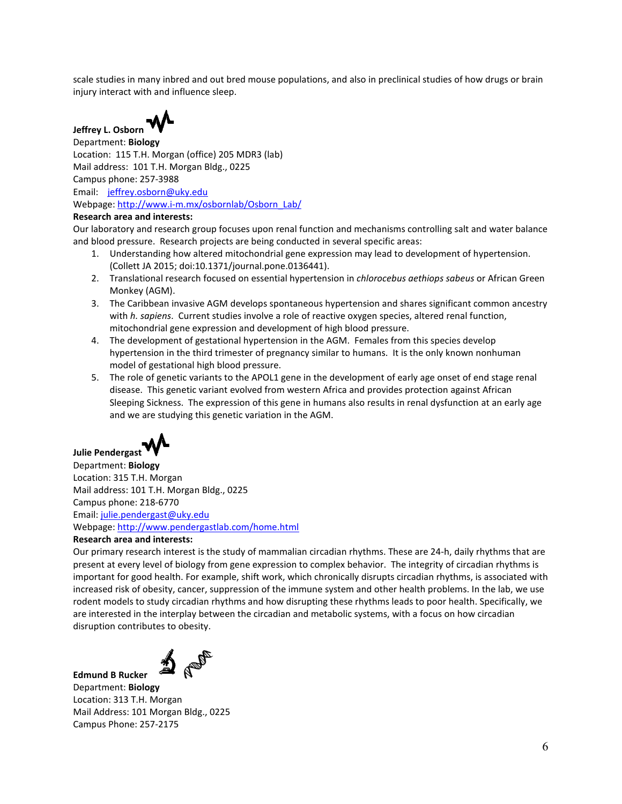scale studies in many inbred and out bred mouse populations, and also in preclinical studies of how drugs or brain injury interact with and influence sleep.



Department: **Biology** Location: 115 T.H. Morgan (office) 205 MDR3 (lab) Mail address: 101 T.H. Morgan Bldg., 0225 Campus phone: 257-3988 Email: [jeffrey.osborn@uky.edu](mailto:jeffrey.osborn@uky.edu) Webpage: [http://www.i-m.mx/osbornlab/Osborn\\_Lab/](http://www.i-m.mx/osbornlab/Osborn_Lab/)

## **Research area and interests:**

Our laboratory and research group focuses upon renal function and mechanisms controlling salt and water balance and blood pressure. Research projects are being conducted in several specific areas:

- 1. Understanding how altered mitochondrial gene expression may lead to development of hypertension. (Collett JA 2015; doi:10.1371/journal.pone.0136441).
- 2. Translational research focused on essential hypertension in *chlorocebus aethiops sabeus* or African Green Monkey (AGM).
- 3. The Caribbean invasive AGM develops spontaneous hypertension and shares significant common ancestry with *h. sapiens*. Current studies involve a role of reactive oxygen species, altered renal function, mitochondrial gene expression and development of high blood pressure.
- 4. The development of gestational hypertension in the AGM. Females from this species develop hypertension in the third trimester of pregnancy similar to humans. It is the only known nonhuman model of gestational high blood pressure.
- 5. The role of genetic variants to the APOL1 gene in the development of early age onset of end stage renal disease. This genetic variant evolved from western Africa and provides protection against African Sleeping Sickness. The expression of this gene in humans also results in renal dysfunction at an early age and we are studying this genetic variation in the AGM.



# **Julie Pendergast**

Department: **Biology** Location: 315 T.H. Morgan Mail address: 101 T.H. Morgan Bldg., 0225 Campus phone: 218-6770 Email: [julie.pendergast@uky.edu](mailto:julie.pendergast@uky.edu) Webpage:<http://www.pendergastlab.com/home.html>

## **Research area and interests:**

Our primary research interest is the study of mammalian circadian rhythms. These are 24-h, daily rhythms that are present at every level of biology from gene expression to complex behavior. The integrity of circadian rhythms is important for good health. For example, shift work, which chronically disrupts circadian rhythms, is associated with increased risk of obesity, cancer, suppression of the immune system and other health problems. In the lab, we use rodent models to study circadian rhythms and how disrupting these rhythms leads to poor health. Specifically, we are interested in the interplay between the circadian and metabolic systems, with a focus on how circadian disruption contributes to obesity.



**Edmund B Rucker**

Department: **Biology** Location: 313 T.H. Morgan Mail Address: 101 Morgan Bldg., 0225 Campus Phone: 257-2175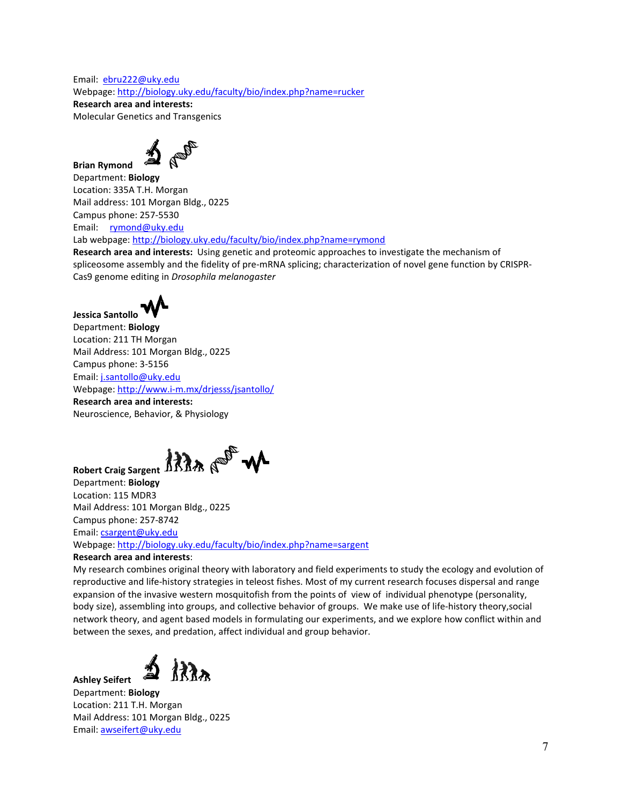Email: [ebru222@uky.edu](mailto:ebru222@uky.edu) Webpage:<http://biology.uky.edu/faculty/bio/index.php?name=rucker> **Research area and interests:** 

Molecular Genetics and Transgenics



**Brian Rymond** Department: **Biology** Location: 335A T.H. Morgan Mail address: 101 Morgan Bldg., 0225 Campus phone: 257-5530 Email: [rymond@uky.edu](mailto:rymond@uky.edu) 

Lab webpage[: http://biology.uky.edu/faculty/bio/index.php?name=rymond](http://biology.uky.edu/faculty/bio/index.php?name=rymond)

**Research area and interests:** Using genetic and proteomic approaches to investigate the mechanism of spliceosome assembly and the fidelity of pre-mRNA splicing; characterization of novel gene function by CRISPR-Cas9 genome editing in *Drosophila melanogaster*



**Jessica Santollo** Department: **Biology** Location: 211 TH Morgan Mail Address: 101 Morgan Bldg., 0225 Campus phone: 3-5156 Email: [j.santollo@uky.edu](mailto:j.santollo@uky.edu) Webpage: <http://www.i-m.mx/drjesss/jsantollo/> **Research area and interests:**

Neuroscience, Behavior, & Physiology

At the solid

**Robert Craig Sargent**

Department: **Biology** Location: 115 MDR3 Mail Address: 101 Morgan Bldg., 0225 Campus phone: 257-8742 Email: [csargent@uky.edu](mailto:csargent@uky.edu)

Webpage:<http://biology.uky.edu/faculty/bio/index.php?name=sargent>

## **Research area and interests**:

My research combines original theory with laboratory and field experiments to study the ecology and evolution of reproductive and life-history strategies in teleost fishes. Most of my current research focuses dispersal and range expansion of the invasive western mosquitofish from the points of view of individual phenotype (personality, body size), assembling into groups, and collective behavior of groups. We make use of life-history theory,social network theory, and agent based models in formulating our experiments, and we explore how conflict within and between the sexes, and predation, affect individual and group behavior.

くええ

**Ashley Seifert**

Department: **Biology** Location: 211 T.H. Morgan Mail Address: 101 Morgan Bldg., 0225 Email: [awseifert@uky.edu](mailto:awseifert@uky.edu)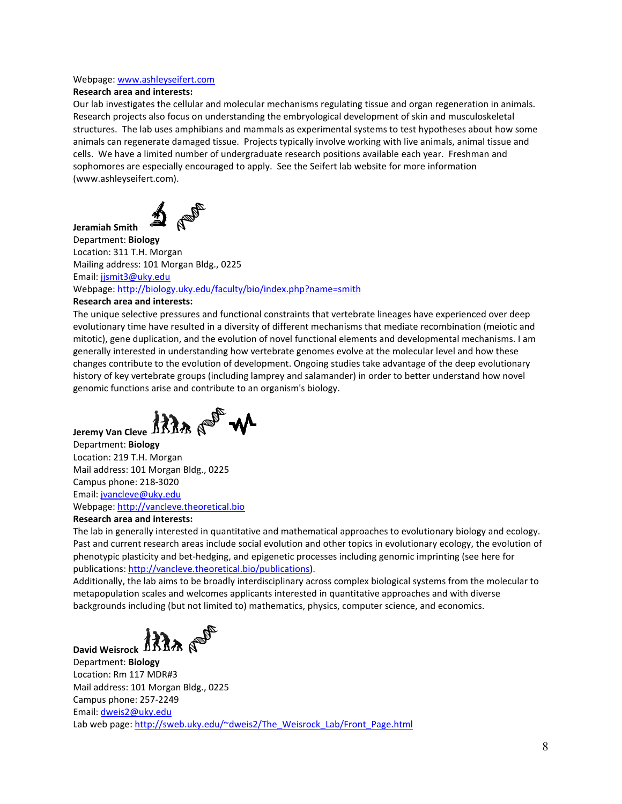## Webpage: [www.ashleyseifert.com](http://www.ashleyseifert.com/)

## **Research area and interests:**

Our lab investigates the cellular and molecular mechanisms regulating tissue and organ regeneration in animals. Research projects also focus on understanding the embryological development of skin and musculoskeletal structures. The lab uses amphibians and mammals as experimental systems to test hypotheses about how some animals can regenerate damaged tissue. Projects typically involve working with live animals, animal tissue and cells. We have a limited number of undergraduate research positions available each year. Freshman and sophomores are especially encouraged to apply. See the Seifert lab website for more information (www.ashleyseifert.com).

D or

Department: **Biology** Location: 311 T.H. Morgan Mailing address: 101 Morgan Bldg., 0225 Email: [jjsmit3@uky.edu](mailto:jjsmit3@uky.edu) Webpage:<http://biology.uky.edu/faculty/bio/index.php?name=smith>

## **Research area and interests:**

**Jeramiah Smith**

The unique selective pressures and functional constraints that vertebrate lineages have experienced over deep evolutionary time have resulted in a diversity of different mechanisms that mediate recombination (meiotic and mitotic), gene duplication, and the evolution of novel functional elements and developmental mechanisms. I am generally interested in understanding how vertebrate genomes evolve at the molecular level and how these changes contribute to the evolution of development. Ongoing studies take advantage of the deep evolutionary history of key vertebrate groups (including lamprey and salamander) in order to better understand how novel genomic functions arise and contribute to an organism's biology.

Jeremy Van Cleve ARR<sub>A</sub> (19<sup>05</sup> W

Department: **Biology** Location: 219 T.H. Morgan Mail address: 101 Morgan Bldg., 0225 Campus phone: 218-3020 Email: [jvancleve@uky.edu](mailto:jvancleve@uky.edu) Webpage: [http://vancleve.theoretical.bio](http://vancleve.theoretical.bio/)

## **Research area and interests:**

The lab in generally interested in quantitative and mathematical approaches to evolutionary biology and ecology. Past and current research areas include social evolution and other topics in evolutionary ecology, the evolution of phenotypic plasticity and bet-hedging, and epigenetic processes including genomic imprinting (see here for publications[: http://vancleve.theoretical.bio/publications\)](http://vancleve.theoretical.bio/publications).

Additionally, the lab aims to be broadly interdisciplinary across complex biological systems from the molecular to metapopulation scales and welcomes applicants interested in quantitative approaches and with diverse backgrounds including (but not limited to) mathematics, physics, computer science, and economics.

David Weisrock ARRA A<sup>SP</sup>

Department: **Biology** Location: Rm 117 MDR#3 Mail address: 101 Morgan Bldg., 0225 Campus phone: 257-2249 Email: [dweis2@uky.edu](mailto:Dweis2@uky.edu) Lab web page: [http://sweb.uky.edu/~dweis2/The\\_Weisrock\\_Lab/Front\\_Page.html](http://sweb.uky.edu/%7Edweis2/The_Weisrock_Lab/Front_Page.html)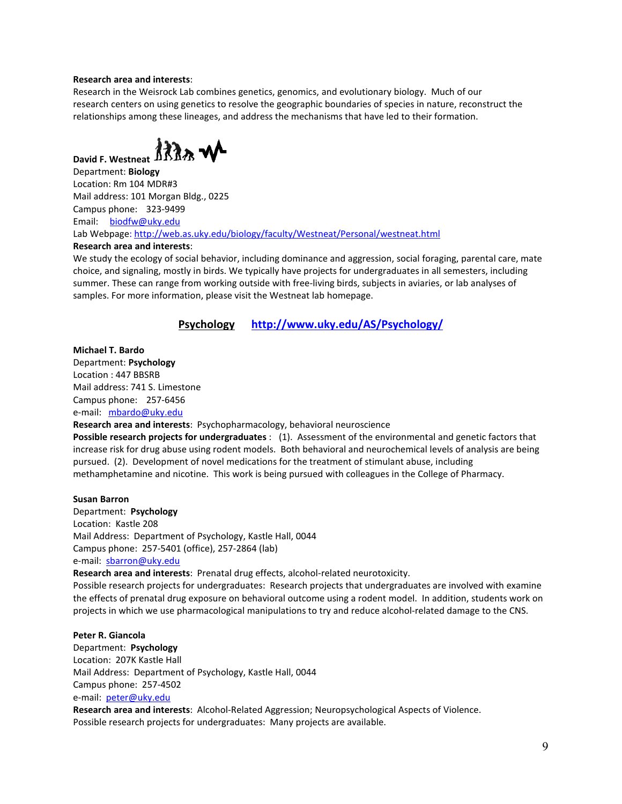## **Research area and interests**:

Research in the Weisrock Lab combines genetics, genomics, and evolutionary biology. Much of our research centers on using genetics to resolve the geographic boundaries of species in nature, reconstruct the relationships among these lineages, and address the mechanisms that have led to their formation.



Department: **Biology** Location: Rm 104 MDR#3 Mail address: 101 Morgan Bldg., 0225 Campus phone: 323-9499 Email: biodfw@uky.edu Lab Webpage:<http://web.as.uky.edu/biology/faculty/Westneat/Personal/westneat.html>

#### **Research area and interests**:

We study the ecology of social behavior, including dominance and aggression, social foraging, parental care, mate choice, and signaling, mostly in birds. We typically have projects for undergraduates in all semesters, including summer. These can range from working outside with free-living birds, subjects in aviaries, or lab analyses of samples. For more information, please visit the Westneat lab homepage.

**Psychology <http://www.uky.edu/AS/Psychology/>**

## **Michael T. Bardo**

Department: **Psychology** Location : 447 BBSRB Mail address: 741 S. Limestone Campus phone: 257-6456 e-mail: [mbardo@uky.edu](mailto:mbardo@uky.edu)

**Research area and interests**: Psychopharmacology, behavioral neuroscience

**Possible research projects for undergraduates** : (1). Assessment of the environmental and genetic factors that increase risk for drug abuse using rodent models. Both behavioral and neurochemical levels of analysis are being pursued. (2). Development of novel medications for the treatment of stimulant abuse, including methamphetamine and nicotine. This work is being pursued with colleagues in the College of Pharmacy.

#### **Susan Barron**

Department: **Psychology** Location: Kastle 208 Mail Address: Department of Psychology, Kastle Hall, 0044 Campus phone: 257-5401 (office), 257-2864 (lab) e-mail: [sbarron@uky.edu](mailto:sbarron@uky.edu)

**Research area and interests**: Prenatal drug effects, alcohol-related neurotoxicity.

Possible research projects for undergraduates: Research projects that undergraduates are involved with examine the effects of prenatal drug exposure on behavioral outcome using a rodent model. In addition, students work on projects in which we use pharmacological manipulations to try and reduce alcohol-related damage to the CNS.

#### **Peter R. Giancola**

Department: **Psychology** Location: 207K Kastle Hall Mail Address: Department of Psychology, Kastle Hall, 0044 Campus phone: 257-4502 e-mail: [peter@uky.edu](mailto:peter@uky.edu) **Research area and interests**: Alcohol-Related Aggression; Neuropsychological Aspects of Violence.

Possible research projects for undergraduates: Many projects are available.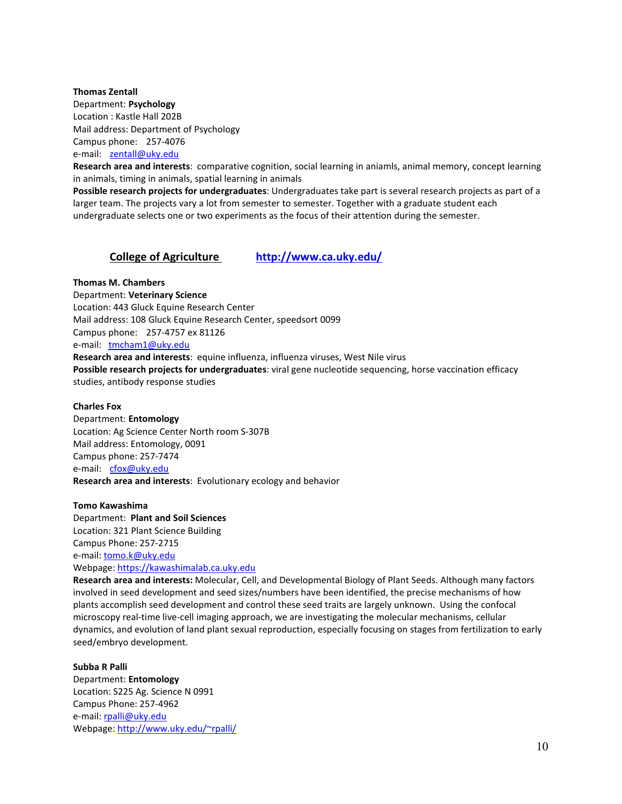#### **Thomas Zentall**

Department: **Psychology** Location : Kastle Hall 202B Mail address: Department of Psychology Campus phone: 257-4076 e-mail: [zentall@uky.edu](mailto:zentall@uky.edu)

**Research area and interests**: comparative cognition, social learning in aniamls, animal memory, concept learning in animals, timing in animals, spatial learning in animals

**Possible research projects for undergraduates**: Undergraduates take part is several research projects as part of a larger team. The projects vary a lot from semester to semester. Together with a graduate student each undergraduate selects one or two experiments as the focus of their attention during the semester.

## **College of Agriculture <http://www.ca.uky.edu/>**

**Thomas M. Chambers** Department: **Veterinary Science** Location: 443 Gluck Equine Research Center Mail address: 108 Gluck Equine Research Center, speedsort 0099 Campus phone: 257-4757 ex 81126 e-mail: [tmcham1@uky.edu](mailto:tmcham1@uky.edu)  **Research area and interests**: equine influenza, influenza viruses, West Nile virus **Possible research projects for undergraduates**: viral gene nucleotide sequencing, horse vaccination efficacy studies, antibody response studies

## **Charles Fox**

Department: **Entomology** Location: Ag Science Center North room S-307B Mail address: Entomology, 0091 Campus phone: 257-7474 e-mail: [cfox@uky.edu](mailto:cfox@uky.edu)  **Research area and interests**: Evolutionary ecology and behavior

**Tomo Kawashima** Department: **Plant and Soil Sciences** Location: 321 Plant Science Building Campus Phone: 257-2715 e-mail: [tomo.k@uky.edu](mailto:tomo.k@uky.edu) Webpage: [https://kawashimalab.ca.uky.edu](https://na01.safelinks.protection.outlook.com/?url=https%3A%2F%2Fkawashimalab.ca.uky.edu&data=02%7C01%7C%7Ce199eb72f3f2481998b208d602c617e4%7C2b30530b69b64457b818481cb53d42ae%7C0%7C0%7C636699447150110066&sdata=UsNbqvXi%2FbkAEIpNgm%2FQUOBD2sfp5y%2B9JCCunoh3lpk%3D&reserved=0)

**Research area and interests:** Molecular, Cell, and Developmental Biology of Plant Seeds. Although many factors involved in seed development and seed sizes/numbers have been identified, the precise mechanisms of how plants accomplish seed development and control these seed traits are largely unknown. Using the confocal microscopy real-time live-cell imaging approach, we are investigating the molecular mechanisms, cellular dynamics, and evolution of land plant sexual reproduction, especially focusing on stages from fertilization to early seed/embryo development.

## **Subba R Palli**

Department: **Entomology** Location: S225 Ag. Science N 0991 Campus Phone: 257-4962 e-mail: [rpalli@uky.edu](mailto:rpalli@uky.edu) Webpage: [http://www.uky.edu/~rpalli/](http://www.uky.edu/%7Erpalli/)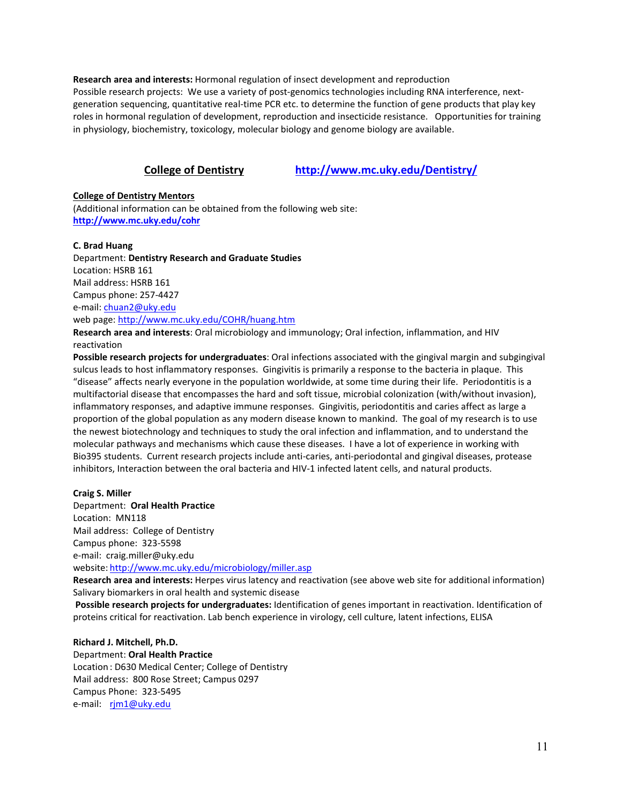**Research area and interests:** Hormonal regulation of insect development and reproduction Possible research projects: We use a variety of post-genomics technologies including RNA interference, nextgeneration sequencing, quantitative real-time PCR etc. to determine the function of gene products that play key roles in hormonal regulation of development, reproduction and insecticide resistance. Opportunities for training in physiology, biochemistry, toxicology, molecular biology and genome biology are available.

## **College of Dentistry <http://www.mc.uky.edu/Dentistry/>**

## **College of Dentistry Mentors**

(Additional information can be obtained from the following web site: **<http://www.mc.uky.edu/cohr>**

## **C. Brad Huang**

Department: **Dentistry Research and Graduate Studies** Location: HSRB 161 Mail address: HSRB 161 Campus phone: 257-4427 e-mail: [chuan2@uky.edu](https://exchange.uky.edu/owa/redir.aspx?C=eca83e074543490ba35ca4680bcdf5fe&URL=mailto%3aann.morris%40uky.edu) web page:<http://www.mc.uky.edu/COHR/huang.htm>

**Research area and interests**: Oral microbiology and immunology; Oral infection, inflammation, and HIV reactivation

**Possible research projects for undergraduates**: Oral infections associated with the gingival margin and subgingival sulcus leads to host inflammatory responses. Gingivitis is primarily a response to the bacteria in plaque. This "disease" affects nearly everyone in the population worldwide, at some time during their life. Periodontitis is a multifactorial disease that encompasses the hard and soft tissue, microbial colonization (with/without invasion), inflammatory responses, and adaptive immune responses. Gingivitis, periodontitis and caries affect as large a proportion of the global population as any modern disease known to mankind. The goal of my research is to use the newest biotechnology and techniques to study the oral infection and inflammation, and to understand the molecular pathways and mechanisms which cause these diseases. I have a lot of experience in working with Bio395 students. Current research projects include anti-caries, anti-periodontal and gingival diseases, protease inhibitors, Interaction between the oral bacteria and HIV-1 infected latent cells, and natural products.

## **Craig S. Miller**

Department: **Oral Health Practice** Location: MN118 Mail address: College of Dentistry Campus phone: 323-5598 e-mail: craig.miller@uky.edu website: <http://www.mc.uky.edu/microbiology/miller.asp>

**Research area and interests:** Herpes virus latency and reactivation (see above web site for additional information) Salivary biomarkers in oral health and systemic disease

**Possible research projects for undergraduates:** Identification of genes important in reactivation. Identification of proteins critical for reactivation. Lab bench experience in virology, cell culture, latent infections, ELISA

## **Richard J. Mitchell, Ph.D.**

Department: **Oral Health Practice** Location : D630 Medical Center; College of Dentistry Mail address: 800 Rose Street; Campus 0297 Campus Phone: 323-5495 e-mail: [rjm1@uky.edu](mailto:rjm1@uky.edu)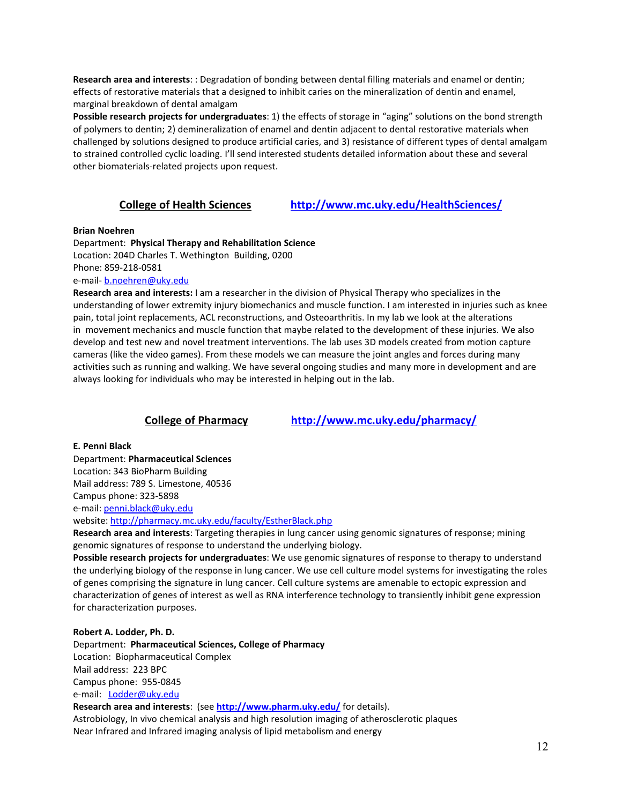**Research area and interests**: : Degradation of bonding between dental filling materials and enamel or dentin; effects of restorative materials that a designed to inhibit caries on the mineralization of dentin and enamel, marginal breakdown of dental amalgam

**Possible research projects for undergraduates**: 1) the effects of storage in "aging" solutions on the bond strength of polymers to dentin; 2) demineralization of enamel and dentin adjacent to dental restorative materials when challenged by solutions designed to produce artificial caries, and 3) resistance of different types of dental amalgam to strained controlled cyclic loading. I'll send interested students detailed information about these and several other biomaterials-related projects upon request.

**College of Health Sciences <http://www.mc.uky.edu/HealthSciences/>**

## **Brian Noehren**

Department: **Physical Therapy and Rehabilitation Science**

Location: 204D Charles T. Wethington Building, 0200 Phone: 859-218-0581

e-mail- [b.noehren@uky.edu](mailto:b.noehren@uky.edu)

**Research area and interests:** I am a researcher in the division of Physical Therapy who specializes in the understanding of lower extremity injury biomechanics and muscle function. I am interested in injuries such as knee pain, total joint replacements, ACL reconstructions, and Osteoarthritis. In my lab we look at the alterations in movement mechanics and muscle function that maybe related to the development of these injuries. We also develop and test new and novel treatment interventions. The lab uses 3D models created from motion capture cameras (like the video games). From these models we can measure the joint angles and forces during many activities such as running and walking. We have several ongoing studies and many more in development and are always looking for individuals who may be interested in helping out in the lab.

## **College of Pharmacy <http://www.mc.uky.edu/pharmacy/>**

**E. Penni Black**

Department: **Pharmaceutical Sciences**

Location: 343 BioPharm Building

Mail address: 789 S. Limestone, 40536

Campus phone: 323-5898

e-mail: [penni.black@uky.edu](mailto:penni.black@uky.edu)

website:<http://pharmacy.mc.uky.edu/faculty/EstherBlack.php>

**Research area and interests**: Targeting therapies in lung cancer using genomic signatures of response; mining genomic signatures of response to understand the underlying biology.

**Possible research projects for undergraduates**: We use genomic signatures of response to therapy to understand the underlying biology of the response in lung cancer. We use cell culture model systems for investigating the roles of genes comprising the signature in lung cancer. Cell culture systems are amenable to ectopic expression and characterization of genes of interest as well as RNA interference technology to transiently inhibit gene expression for characterization purposes.

## **Robert A. Lodder, Ph. D.**

Department: **Pharmaceutical Sciences, College of Pharmacy** Location: Biopharmaceutical Complex Mail address: 223 BPC Campus phone: 955-0845 e-mail: [Lodder@uky.edu](mailto:Lodder@uky.edu)

**Research area and interests**: (see **<http://www.pharm.uky.edu/>** for details).

Astrobiology, In vivo chemical analysis and high resolution imaging of atherosclerotic plaques Near Infrared and Infrared imaging analysis of lipid metabolism and energy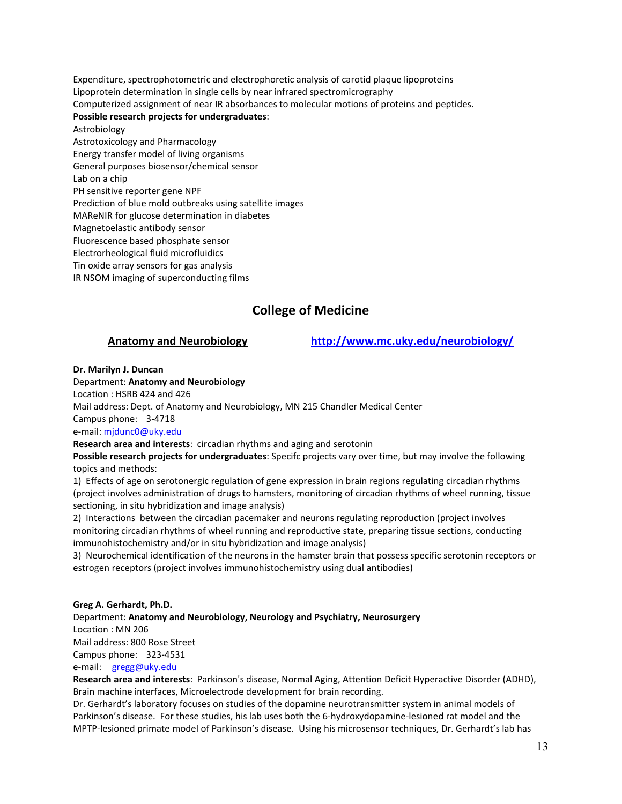Expenditure, spectrophotometric and electrophoretic analysis of carotid plaque lipoproteins Lipoprotein determination in single cells by near infrared spectromicrography Computerized assignment of near IR absorbances to molecular motions of proteins and peptides.

## **Possible research projects for undergraduates**:

Astrobiology

Astrotoxicology and Pharmacology

Energy transfer model of living organisms

General purposes biosensor/chemical sensor

Lab on a chip

PH sensitive reporter gene NPF

Prediction of blue mold outbreaks using satellite images

MAReNIR for glucose determination in diabetes

Magnetoelastic antibody sensor

Fluorescence based phosphate sensor

Electrorheological fluid microfluidics

Tin oxide array sensors for gas analysis

IR NSOM imaging of superconducting films

## **College of Medicine**

**Anatomy and Neurobiology <http://www.mc.uky.edu/neurobiology/>**

## **Dr. Marilyn J. Duncan**

## Department: **Anatomy and Neurobiology**

Location : HSRB 424 and 426

Mail address: Dept. of Anatomy and Neurobiology, MN 215 Chandler Medical Center

Campus phone: 3-4718

e-mail: [mjdunc0@uky.edu](mailto:mjdunc0@uky.edu)

**Research area and interests**: circadian rhythms and aging and serotonin

**Possible research projects for undergraduates**: Specifc projects vary over time, but may involve the following topics and methods:

1) Effects of age on serotonergic regulation of gene expression in brain regions regulating circadian rhythms (project involves administration of drugs to hamsters, monitoring of circadian rhythms of wheel running, tissue sectioning, in situ hybridization and image analysis)

2) Interactions between the circadian pacemaker and neurons regulating reproduction (project involves monitoring circadian rhythms of wheel running and reproductive state, preparing tissue sections, conducting immunohistochemistry and/or in situ hybridization and image analysis)

3) Neurochemical identification of the neurons in the hamster brain that possess specific serotonin receptors or estrogen receptors (project involves immunohistochemistry using dual antibodies)

## **Greg A. Gerhardt, Ph.D.**

Department: **Anatomy and Neurobiology, Neurology and Psychiatry, Neurosurgery** Location : MN 206 Mail address: 800 Rose Street Campus phone: 323-4531 e-mail: [gregg@uky.edu](mailto:gregg@uky.edu)  **Research area and interests**: Parkinson's disease, Normal Aging, Attention Deficit Hyperactive Disorder (ADHD),

Brain machine interfaces, Microelectrode development for brain recording.

Dr. Gerhardt's laboratory focuses on studies of the dopamine neurotransmitter system in animal models of Parkinson's disease. For these studies, his lab uses both the 6-hydroxydopamine-lesioned rat model and the MPTP-lesioned primate model of Parkinson's disease. Using his microsensor techniques, Dr. Gerhardt's lab has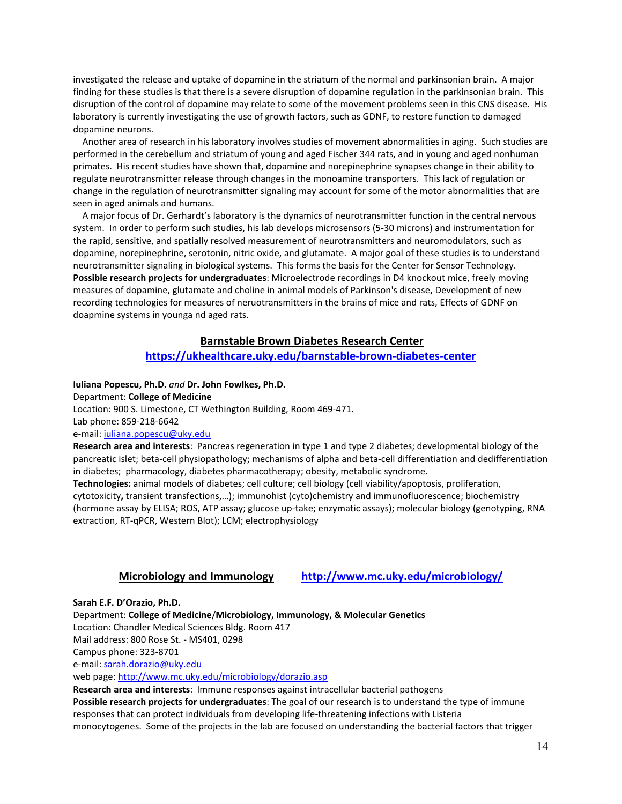investigated the release and uptake of dopamine in the striatum of the normal and parkinsonian brain. A major finding for these studies is that there is a severe disruption of dopamine regulation in the parkinsonian brain. This disruption of the control of dopamine may relate to some of the movement problems seen in this CNS disease. His laboratory is currently investigating the use of growth factors, such as GDNF, to restore function to damaged dopamine neurons.

 Another area of research in his laboratory involves studies of movement abnormalities in aging. Such studies are performed in the cerebellum and striatum of young and aged Fischer 344 rats, and in young and aged nonhuman primates. His recent studies have shown that, dopamine and norepinephrine synapses change in their ability to regulate neurotransmitter release through changes in the monoamine transporters. This lack of regulation or change in the regulation of neurotransmitter signaling may account for some of the motor abnormalities that are seen in aged animals and humans.

 A major focus of Dr. Gerhardt's laboratory is the dynamics of neurotransmitter function in the central nervous system. In order to perform such studies, his lab develops microsensors (5-30 microns) and instrumentation for the rapid, sensitive, and spatially resolved measurement of neurotransmitters and neuromodulators, such as dopamine, norepinephrine, serotonin, nitric oxide, and glutamate. A major goal of these studies is to understand neurotransmitter signaling in biological systems. This forms the basis for the Center for Sensor Technology. **Possible research projects for undergraduates**: Microelectrode recordings in D4 knockout mice, freely moving measures of dopamine, glutamate and choline in animal models of Parkinson's disease, Development of new recording technologies for measures of neruotransmitters in the brains of mice and rats, Effects of GDNF on doapmine systems in younga nd aged rats.

## **Barnstable Brown Diabetes Research Center**

## **<https://ukhealthcare.uky.edu/barnstable-brown-diabetes-center>**

**Iuliana Popescu, Ph.D.** *and* **Dr. John Fowlkes, Ph.D.** Department: **College of Medicine** Location: 900 S. Limestone, CT Wethington Building, Room 469-471. Lab phone: 859-218-6642

e-mail: [iuliana.popescu@uky.edu](mailto:iuliana.popescu@uky.edu)

**Research area and interests**: Pancreas regeneration in type 1 and type 2 diabetes; developmental biology of the pancreatic islet; beta-cell physiopathology; mechanisms of alpha and beta-cell differentiation and dedifferentiation in diabetes; pharmacology, diabetes pharmacotherapy; obesity, metabolic syndrome.

**Technologies:** animal models of diabetes; cell culture; cell biology (cell viability/apoptosis, proliferation, cytotoxicity**,** transient transfections,…); immunohist (cyto)chemistry and immunofluorescence; biochemistry (hormone assay by ELISA; ROS, ATP assay; glucose up-take; enzymatic assays); molecular biology (genotyping, RNA extraction, RT-qPCR, Western Blot); LCM; electrophysiology

## **Microbiology and Immunology <http://www.mc.uky.edu/microbiology/>**

**Sarah E.F. D'Orazio, Ph.D.**

Department: **College of Medicine**/**Microbiology, Immunology, & Molecular Genetics**

Location: Chandler Medical Sciences Bldg. Room 417

Mail address: 800 Rose St. - MS401, 0298

Campus phone: 323-8701

e-mail: [sarah.dorazio@uky.edu](file://as.uky.edu/as/biosci/jburke/01_Biology/BIO%20395/Mentors/sarah.dorazio@uky.edu)

web page:<http://www.mc.uky.edu/microbiology/dorazio.asp>

**Research area and interests**: Immune responses against intracellular bacterial pathogens **Possible research projects for undergraduates**: The goal of our research is to understand the type of immune responses that can protect individuals from developing life-threatening infections with Listeria monocytogenes. Some of the projects in the lab are focused on understanding the bacterial factors that trigger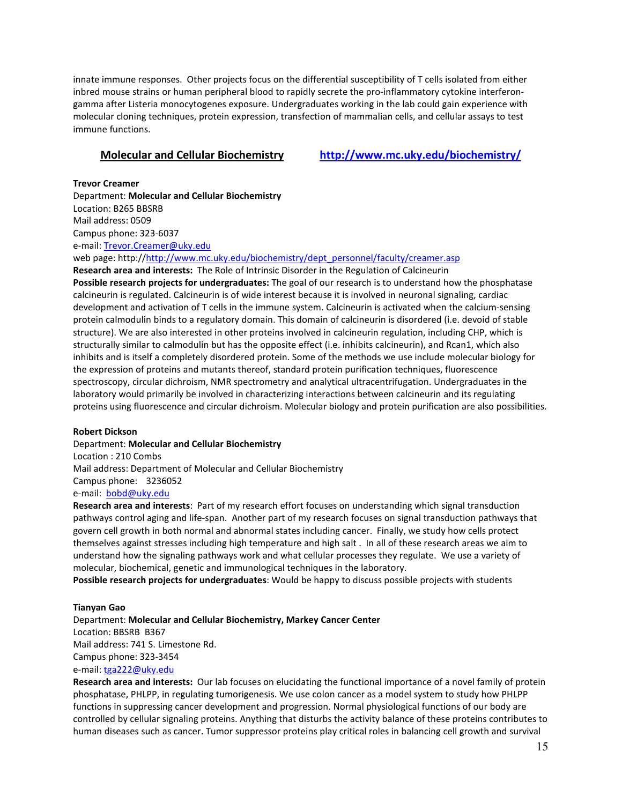innate immune responses. Other projects focus on the differential susceptibility of T cells isolated from either inbred mouse strains or human peripheral blood to rapidly secrete the pro-inflammatory cytokine interferongamma after Listeria monocytogenes exposure. Undergraduates working in the lab could gain experience with molecular cloning techniques, protein expression, transfection of mammalian cells, and cellular assays to test immune functions.

**Molecular and Cellular Biochemistry <http://www.mc.uky.edu/biochemistry/>**

**Trevor Creamer** Department: **Molecular and Cellular Biochemistry** Location: B265 BBSRB Mail address: 0509 Campus phone: 323-6037 e-mail: [Trevor.Creamer@uky.edu](mailto:Trevor.Creamer@uky.edu) web page: http:/[/http://www.mc.uky.edu/biochemistry/dept\\_personnel/faculty/creamer.asp](http://www.mc.uky.edu/biochemistry/dept_personnel/faculty/creamer.asp)

**Research area and interests:** The Role of Intrinsic Disorder in the Regulation of Calcineurin **Possible research projects for undergraduates:** The goal of our research is to understand how the phosphatase calcineurin is regulated. Calcineurin is of wide interest because it is involved in neuronal signaling, cardiac development and activation of T cells in the immune system. Calcineurin is activated when the calcium-sensing protein calmodulin binds to a regulatory domain. This domain of calcineurin is disordered (i.e. devoid of stable structure). We are also interested in other proteins involved in calcineurin regulation, including CHP, which is structurally similar to calmodulin but has the opposite effect (i.e. inhibits calcineurin), and Rcan1, which also inhibits and is itself a completely disordered protein. Some of the methods we use include molecular biology for the expression of proteins and mutants thereof, standard protein purification techniques, fluorescence spectroscopy, circular dichroism, NMR spectrometry and analytical ultracentrifugation. Undergraduates in the laboratory would primarily be involved in characterizing interactions between calcineurin and its regulating proteins using fluorescence and circular dichroism. Molecular biology and protein purification are also possibilities.

## **Robert Dickson**

Department: **Molecular and Cellular Biochemistry** Location : 210 Combs Mail address: Department of Molecular and Cellular Biochemistry Campus phone: 3236052 e-mail: [bobd@uky.edu](mailto:bobd@uky.edu)

**Research area and interests**: Part of my research effort focuses on understanding which signal transduction pathways control aging and life-span. Another part of my research focuses on signal transduction pathways that govern cell growth in both normal and abnormal states including cancer. Finally, we study how cells protect themselves against stresses including high temperature and high salt . In all of these research areas we aim to understand how the signaling pathways work and what cellular processes they regulate. We use a variety of molecular, biochemical, genetic and immunological techniques in the laboratory.

**Possible research projects for undergraduates**: Would be happy to discuss possible projects with students

## **Tianyan Gao**

Department: **Molecular and Cellular Biochemistry, Markey Cancer Center** Location: BBSRB B367 Mail address: 741 S. Limestone Rd. Campus phone: 323-3454 e-mail: [tga222@uky.edu](mailto:tga222@uky.edu)

**Research area and interests:** Our lab focuses on elucidating the functional importance of a novel family of protein phosphatase, PHLPP, in regulating tumorigenesis. We use colon cancer as a model system to study how PHLPP functions in suppressing cancer development and progression. Normal physiological functions of our body are controlled by cellular signaling proteins. Anything that disturbs the activity balance of these proteins contributes to human diseases such as cancer. Tumor suppressor proteins play critical roles in balancing cell growth and survival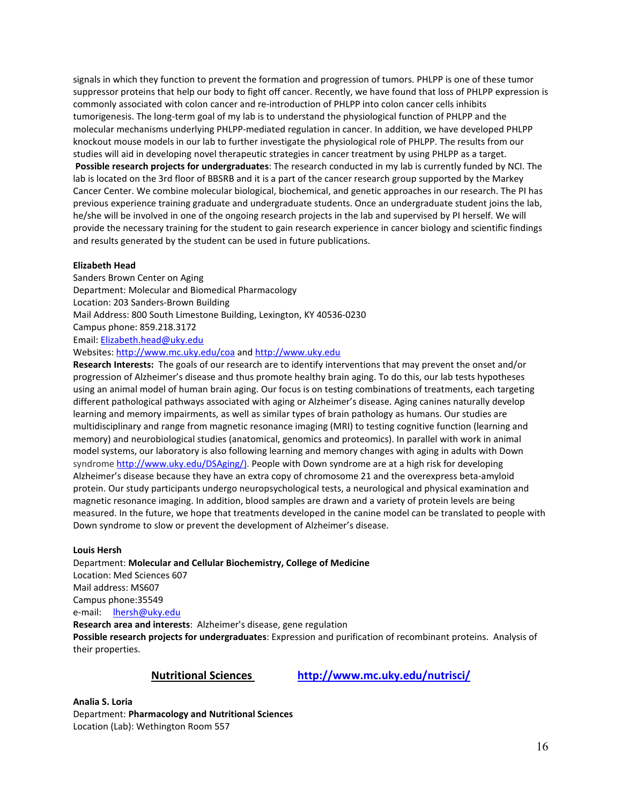signals in which they function to prevent the formation and progression of tumors. PHLPP is one of these tumor suppressor proteins that help our body to fight off cancer. Recently, we have found that loss of PHLPP expression is commonly associated with colon cancer and re-introduction of PHLPP into colon cancer cells inhibits tumorigenesis. The long-term goal of my lab is to understand the physiological function of PHLPP and the molecular mechanisms underlying PHLPP-mediated regulation in cancer. In addition, we have developed PHLPP knockout mouse models in our lab to further investigate the physiological role of PHLPP. The results from our studies will aid in developing novel therapeutic strategies in cancer treatment by using PHLPP as a target. **Possible research projects for undergraduates**: The research conducted in my lab is currently funded by NCI. The lab is located on the 3rd floor of BBSRB and it is a part of the cancer research group supported by the Markey Cancer Center. We combine molecular biological, biochemical, and genetic approaches in our research. The PI has previous experience training graduate and undergraduate students. Once an undergraduate student joins the lab, he/she will be involved in one of the ongoing research projects in the lab and supervised by PI herself. We will provide the necessary training for the student to gain research experience in cancer biology and scientific findings and results generated by the student can be used in future publications.

#### **Elizabeth Head**

Sanders Brown Center on Aging Department: Molecular and Biomedical Pharmacology Location: 203 Sanders-Brown Building Mail Address: 800 South Limestone Building, Lexington, KY 40536-0230 Campus phone: 859.218.3172 Email: [Elizabeth.head@uky.edu](mailto:Elizabeth.head@uky.edu) Websites[: http://www.mc.uky.edu/coa](http://www.mc.uky.edu/coa) and [http://www.uky.edu](http://www.uky.edu/) **Research Interests:** The goals of our research are to identify interventions that may prevent the onset and/or

progression of Alzheimer's disease and thus promote healthy brain aging. To do this, our lab tests hypotheses using an animal model of human brain aging. Our focus is on testing combinations of treatments, each targeting different pathological pathways associated with aging or Alzheimer's disease. Aging canines naturally develop learning and memory impairments, as well as similar types of brain pathology as humans. Our studies are multidisciplinary and range from magnetic resonance imaging (MRI) to testing cognitive function (learning and memory) and neurobiological studies (anatomical, genomics and proteomics). In parallel with work in animal model systems, our laboratory is also following learning and memory changes with aging in adults with Down syndrome [http://www.uky.edu/DSAging/\).](http://www.uky.edu/DSAging/) People with Down syndrome are at a high risk for developing Alzheimer's disease because they have an extra copy of chromosome 21 and the overexpress beta-amyloid protein. Our study participants undergo neuropsychological tests, a neurological and physical examination and magnetic resonance imaging. In addition, blood samples are drawn and a variety of protein levels are being measured. In the future, we hope that treatments developed in the canine model can be translated to people with Down syndrome to slow or prevent the development of Alzheimer's disease.

#### **Louis Hersh**

Department: **Molecular and Cellular Biochemistry, College of Medicine** Location: Med Sciences 607 Mail address: MS607 Campus phone:35549 e-mail: [lhersh@uky.edu](mailto:lhersh@uky.edu) **Research area and interests**: Alzheimer's disease, gene regulation **Possible research projects for undergraduates**: Expression and purification of recombinant proteins. Analysis of their properties.

**Nutritional Sciences <http://www.mc.uky.edu/nutrisci/>**

**Analia S. Loria** Department: **Pharmacology and Nutritional Sciences** Location (Lab): Wethington Room 557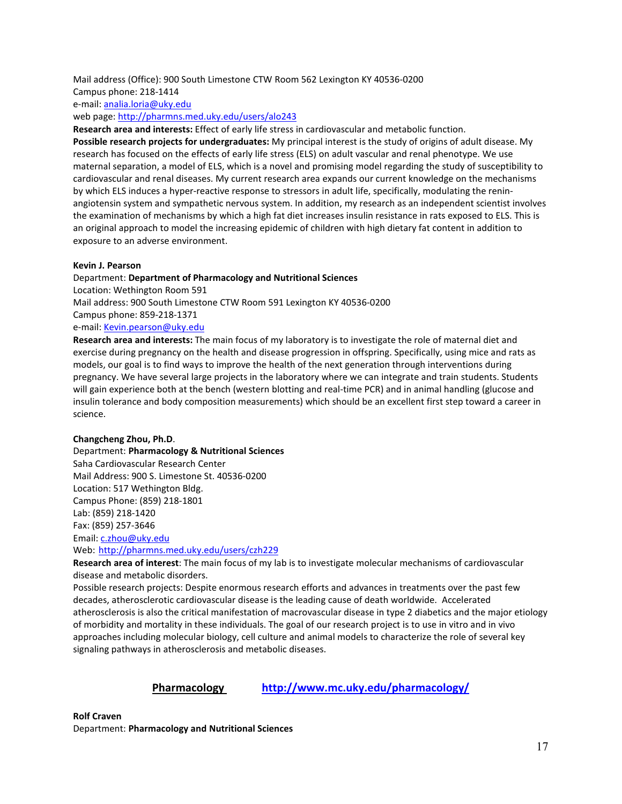## Mail address (Office): 900 South Limestone CTW Room 562 Lexington KY 40536-0200

## Campus phone: 218-1414

e-mail: [analia.loria@uky.edu](mailto:Trevor.Creamer@uky.edu)

web page: <http://pharmns.med.uky.edu/users/alo243>

**Research area and interests:** Effect of early life stress in cardiovascular and metabolic function.

**Possible research projects for undergraduates:** My principal interest is the study of origins of adult disease. My research has focused on the effects of early life stress (ELS) on adult vascular and renal phenotype. We use maternal separation, a model of ELS, which is a novel and promising model regarding the study of susceptibility to cardiovascular and renal diseases. My current research area expands our current knowledge on the mechanisms by which ELS induces a hyper-reactive response to stressors in adult life, specifically, modulating the reninangiotensin system and sympathetic nervous system. In addition, my research as an independent scientist involves the examination of mechanisms by which a high fat diet increases insulin resistance in rats exposed to ELS. This is an original approach to model the increasing epidemic of children with high dietary fat content in addition to exposure to an adverse environment.

## **Kevin J. Pearson**

## Department: **Department of Pharmacology and Nutritional Sciences** Location: Wethington Room 591 Mail address: 900 South Limestone CTW Room 591 Lexington KY 40536-0200 Campus phone: 859-218-1371 e-mail: [Kevin.pearson@uky.edu](mailto:Kevin.pearson@uky.edu)

**Research area and interests:** The main focus of my laboratory is to investigate the role of maternal diet and exercise during pregnancy on the health and disease progression in offspring. Specifically, using mice and rats as models, our goal is to find ways to improve the health of the next generation through interventions during pregnancy. We have several large projects in the laboratory where we can integrate and train students. Students will gain experience both at the bench (western blotting and real-time PCR) and in animal handling (glucose and insulin tolerance and body composition measurements) which should be an excellent first step toward a career in science.

## **Changcheng Zhou, Ph.D**.

## Department: **Pharmacology & Nutritional Sciences** Saha Cardiovascular Research Center Mail Address: 900 S. Limestone St. 40536-0200 Location: 517 Wethington Bldg. Campus Phone: (859) 218-1801 Lab: (859) 218-1420 Fax: (859) 257-3646 Email: [c.zhou@uky.edu](mailto:c.zhou@uky.edu) Web: <http://pharmns.med.uky.edu/users/czh229>

**Research area of interest**: The main focus of my lab is to investigate molecular mechanisms of cardiovascular disease and metabolic disorders.

Possible research projects: Despite enormous research efforts and advances in treatments over the past few decades, atherosclerotic cardiovascular disease is the leading cause of death worldwide. Accelerated atherosclerosis is also the critical manifestation of macrovascular disease in type 2 diabetics and the major etiology of morbidity and mortality in these individuals. The goal of our research project is to use in vitro and in vivo approaches including molecular biology, cell culture and animal models to characterize the role of several key signaling pathways in atherosclerosis and metabolic diseases.

## **Pharmacology <http://www.mc.uky.edu/pharmacology/>**

**Rolf Craven**

Department: **Pharmacology and Nutritional Sciences**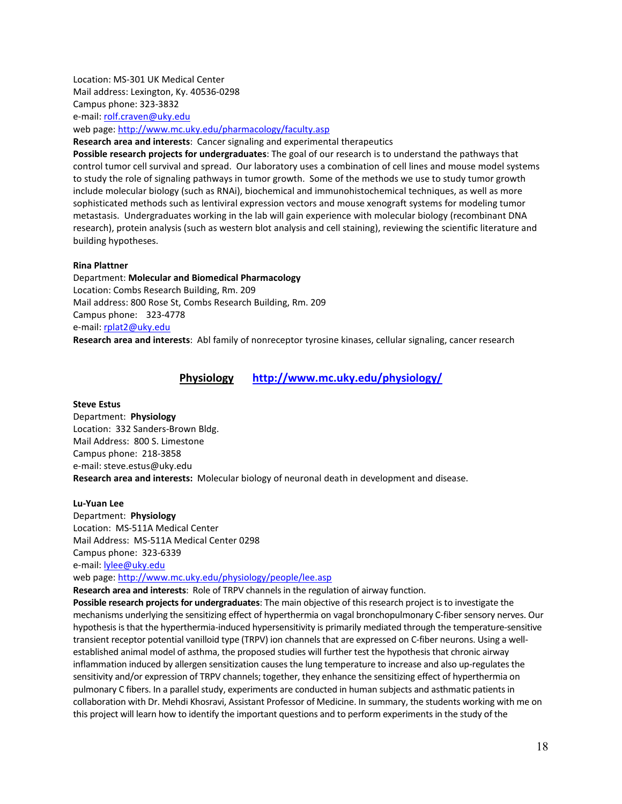Location: MS-301 UK Medical Center Mail address: Lexington, Ky. 40536-0298 Campus phone: 323-3832 e-mail: [rolf.craven@uky.edu](mailto:rolf.craven@uky.edu)

web page:<http://www.mc.uky.edu/pharmacology/faculty.asp>

**Research area and interests**: Cancer signaling and experimental therapeutics

**Possible research projects for undergraduates**: The goal of our research is to understand the pathways that control tumor cell survival and spread. Our laboratory uses a combination of cell lines and mouse model systems to study the role of signaling pathways in tumor growth. Some of the methods we use to study tumor growth include molecular biology (such as RNAi), biochemical and immunohistochemical techniques, as well as more sophisticated methods such as lentiviral expression vectors and mouse xenograft systems for modeling tumor metastasis. Undergraduates working in the lab will gain experience with molecular biology (recombinant DNA research), protein analysis (such as western blot analysis and cell staining), reviewing the scientific literature and building hypotheses.

#### **Rina Plattner**

Department: **Molecular and Biomedical Pharmacology**  Location: Combs Research Building, Rm. 209 Mail address: 800 Rose St, Combs Research Building, Rm. 209 Campus phone: 323-4778 e-mail: [rplat2@uky.edu](mailto:rplat2@uky.edu)

**Research area and interests**: Abl family of nonreceptor tyrosine kinases, cellular signaling, cancer research

## **Physiology <http://www.mc.uky.edu/physiology/>**

#### **Steve Estus**

Department: **Physiology** Location: 332 Sanders-Brown Bldg. Mail Address: 800 S. Limestone Campus phone: 218-3858 e-mail: [st](mailto:sestus@aging.coa.uky.edu)eve.estus@uky.edu **Research area and interests:** Molecular biology of neuronal death in development and disease.

#### **Lu-Yuan Lee**

Department: **Physiology** Location: MS-511A Medical Center Mail Address: MS-511A Medical Center 0298 Campus phone: 323-6339 e-mail: [lylee@uky.edu](mailto:lylee@uky.edu) web page:<http://www.mc.uky.edu/physiology/people/lee.asp>

**Research area and interests**: Role of TRPV channels in the regulation of airway function.

**Possible research projects for undergraduates**: The main objective of this research project is to investigate the mechanisms underlying the sensitizing effect of hyperthermia on vagal bronchopulmonary C-fiber sensory nerves. Our hypothesis is that the hyperthermia-induced hypersensitivity is primarily mediated through the temperature-sensitive transient receptor potential vanilloid type (TRPV) ion channels that are expressed on C-fiber neurons. Using a wellestablished animal model of asthma, the proposed studies will further test the hypothesis that chronic airway inflammation induced by allergen sensitization causes the lung temperature to increase and also up-regulates the sensitivity and/or expression of TRPV channels; together, they enhance the sensitizing effect of hyperthermia on pulmonary C fibers. In a parallel study, experiments are conducted in human subjects and asthmatic patients in collaboration with Dr. Mehdi Khosravi, Assistant Professor of Medicine. In summary, the students working with me on this project will learn how to identify the important questions and to perform experiments in the study of the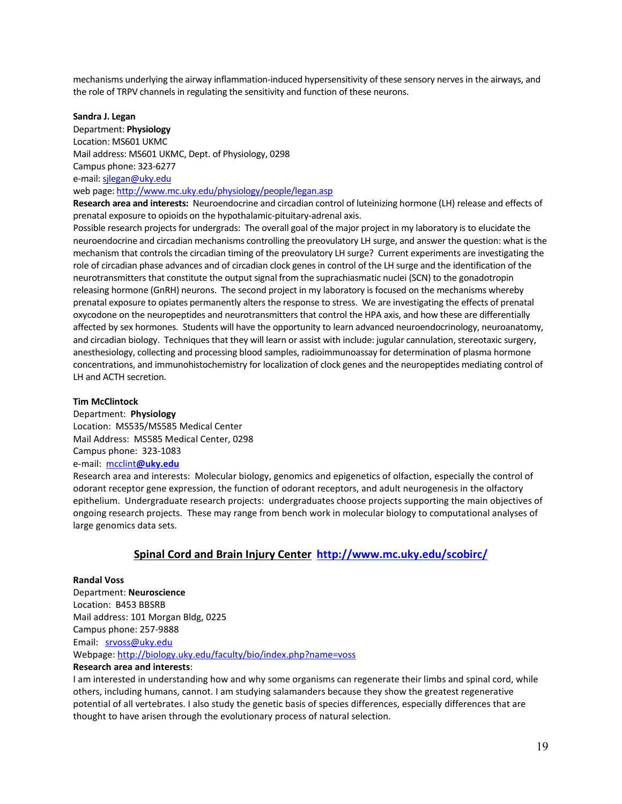mechanisms underlying the airway inflammation-induced hypersensitivity of these sensory nerves in the airways, and the role of TRPV channels in regulating the sensitivity and function of these neurons.

#### **Sandra J. Legan**

Department: **Physiology** Location: MS601 UKMC Mail address: MS601 UKMC, Dept. of Physiology, 0298 Campus phone: 323-6277 e-mail[: sjlegan@uky.edu](mailto:sjlegan@uky.edu) web page:<http://www.mc.uky.edu/physiology/people/legan.asp>

**Research area and interests:** Neuroendocrine and circadian control of luteinizing hormone (LH) release and effects of prenatal exposure to opioids on the hypothalamic-pituitary-adrenal axis.

Possible research projects for undergrads: The overall goal of the major project in my laboratory is to elucidate the neuroendocrine and circadian mechanisms controlling the preovulatory LH surge, and answer the question: what is the mechanism that controls the circadian timing of the preovulatory LH surge? Current experiments are investigating the role of circadian phase advances and of circadian clock genes in control of the LH surge and the identification of the neurotransmitters that constitute the output signal from the suprachiasmatic nuclei (SCN) to the gonadotropin releasing hormone (GnRH) neurons. The second project in my laboratory is focused on the mechanisms whereby prenatal exposure to opiates permanently alters the response to stress. We are investigating the effects of prenatal oxycodone on the neuropeptides and neurotransmitters that control the HPA axis, and how these are differentially affected by sex hormones. Students will have the opportunity to learn advanced neuroendocrinology, neuroanatomy, and circadian biology. Techniques that they will learn or assist with include: jugular cannulation, stereotaxic surgery, anesthesiology, collecting and processing blood samples, radioimmunoassay for determination of plasma hormone concentrations, and immunohistochemistry for localization of clock genes and the neuropeptides mediating control of LH and ACTH secretion.

## **Tim McClintock**

Department: **Physiology** Location: MS535/MS585 Medical Center Mail Address: MS585 Medical Center, 0298 Campus phone: 323-1083 e-mail: mcclint**[@uky.edu](mailto:mcclint@uky.edu)**

Research area and interests:Molecular biology, genomics and epigenetics of olfaction, especially the control of odorant receptor gene expression, the function of odorant receptors, and adult neurogenesis in the olfactory epithelium. Undergraduate research projects: undergraduates choose projects supporting the main objectives of ongoing research projects. These may range from bench work in molecular biology to computational analyses of large genomics data sets.

## **Spinal Cord and Brain Injury Center <http://www.mc.uky.edu/scobirc/>**

## **Randal Voss**

Department: **Neuroscience** Location: B453 BBSRB Mail address: 101 Morgan Bldg, 0225 Campus phone: 257-9888 Email: [srvoss@uky.edu](mailto:srvoss@uky.edu) Webpage:<http://biology.uky.edu/faculty/bio/index.php?name=voss>

## **Research area and interests**:

I am interested in understanding how and why some organisms can regenerate their limbs and spinal cord, while others, including humans, cannot. I am studying salamanders because they show the greatest regenerative potential of all vertebrates. I also study the genetic basis of species differences, especially differences that are thought to have arisen through the evolutionary process of natural selection.